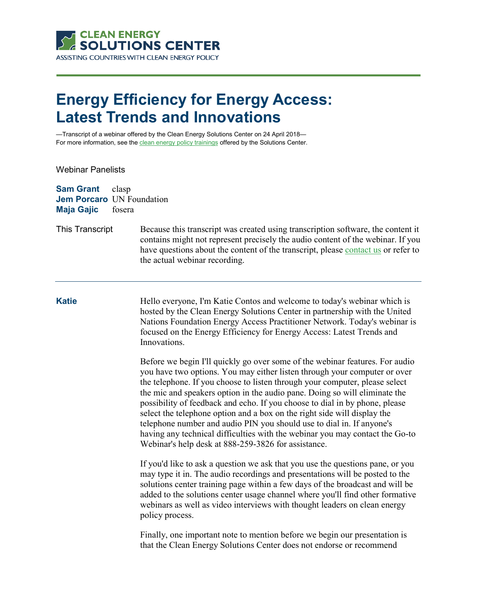

## **Energy Efficiency for Energy Access: Latest Trends and Innovations**

—Transcript of a webinar offered by the Clean Energy Solutions Center on 24 April 2018 For more information, see th[e clean energy policy trainings](https://cleanenergysolutions.org/training) offered by the Solutions Center.

Webinar Panelists

| <b>Sam Grant</b><br><b>Jem Porcaro</b> UN Foundation<br><b>Maja Gajic</b> | clasp<br>fosera |                                                                                                                                                                                                                                                                                                                                                                                                                                                                                                                                                                                                                                                                                                   |
|---------------------------------------------------------------------------|-----------------|---------------------------------------------------------------------------------------------------------------------------------------------------------------------------------------------------------------------------------------------------------------------------------------------------------------------------------------------------------------------------------------------------------------------------------------------------------------------------------------------------------------------------------------------------------------------------------------------------------------------------------------------------------------------------------------------------|
| This Transcript                                                           |                 | Because this transcript was created using transcription software, the content it<br>contains might not represent precisely the audio content of the webinar. If you<br>have questions about the content of the transcript, please contact us or refer to<br>the actual webinar recording.                                                                                                                                                                                                                                                                                                                                                                                                         |
| <b>Katie</b>                                                              |                 | Hello everyone, I'm Katie Contos and welcome to today's webinar which is<br>hosted by the Clean Energy Solutions Center in partnership with the United<br>Nations Foundation Energy Access Practitioner Network. Today's webinar is<br>focused on the Energy Efficiency for Energy Access: Latest Trends and<br>Innovations.                                                                                                                                                                                                                                                                                                                                                                      |
|                                                                           |                 | Before we begin I'll quickly go over some of the webinar features. For audio<br>you have two options. You may either listen through your computer or over<br>the telephone. If you choose to listen through your computer, please select<br>the mic and speakers option in the audio pane. Doing so will eliminate the<br>possibility of feedback and echo. If you choose to dial in by phone, please<br>select the telephone option and a box on the right side will display the<br>telephone number and audio PIN you should use to dial in. If anyone's<br>having any technical difficulties with the webinar you may contact the Go-to<br>Webinar's help desk at 888-259-3826 for assistance. |
|                                                                           |                 | If you'd like to ask a question we ask that you use the questions pane, or you<br>may type it in. The audio recordings and presentations will be posted to the<br>solutions center training page within a few days of the broadcast and will be<br>added to the solutions center usage channel where you'll find other formative<br>webinars as well as video interviews with thought leaders on clean energy<br>policy process.                                                                                                                                                                                                                                                                  |
|                                                                           |                 | Finally, one important note to mention before we begin our presentation is<br>that the Clean Energy Solutions Center does not endorse or recommend                                                                                                                                                                                                                                                                                                                                                                                                                                                                                                                                                |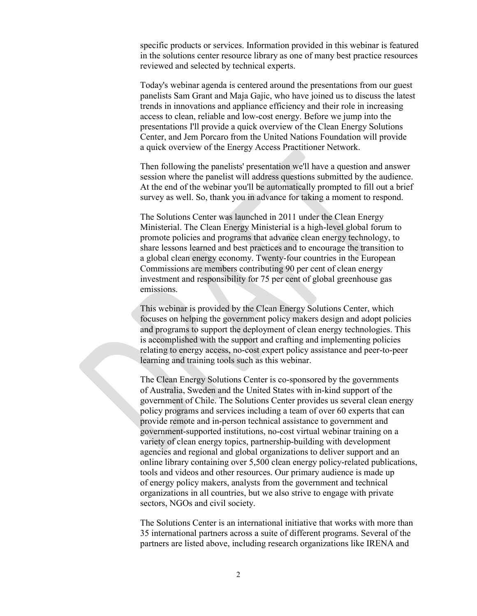specific products or services. Information provided in this webinar is featured in the solutions center resource library as one of many best practice resources reviewed and selected by technical experts.

Today's webinar agenda is centered around the presentations from our guest panelists Sam Grant and Maja Gajic, who have joined us to discuss the latest trends in innovations and appliance efficiency and their role in increasing access to clean, reliable and low-cost energy. Before we jump into the presentations I'll provide a quick overview of the Clean Energy Solutions Center, and Jem Porcaro from the United Nations Foundation will provide a quick overview of the Energy Access Practitioner Network.

Then following the panelists' presentation we'll have a question and answer session where the panelist will address questions submitted by the audience. At the end of the webinar you'll be automatically prompted to fill out a brief survey as well. So, thank you in advance for taking a moment to respond.

The Solutions Center was launched in 2011 under the Clean Energy Ministerial. The Clean Energy Ministerial is a high-level global forum to promote policies and programs that advance clean energy technology, to share lessons learned and best practices and to encourage the transition to a global clean energy economy. Twenty-four countries in the European Commissions are members contributing 90 per cent of clean energy investment and responsibility for 75 per cent of global greenhouse gas emissions.

This webinar is provided by the Clean Energy Solutions Center, which focuses on helping the government policy makers design and adopt policies and programs to support the deployment of clean energy technologies. This is accomplished with the support and crafting and implementing policies relating to energy access, no-cost expert policy assistance and peer-to-peer learning and training tools such as this webinar.

The Clean Energy Solutions Center is co-sponsored by the governments of Australia, Sweden and the United States with in-kind support of the government of Chile. The Solutions Center provides us several clean energy policy programs and services including a team of over 60 experts that can provide remote and in-person technical assistance to government and government-supported institutions, no-cost virtual webinar training on a variety of clean energy topics, partnership-building with development agencies and regional and global organizations to deliver support and an online library containing over 5,500 clean energy policy-related publications, tools and videos and other resources. Our primary audience is made up of energy policy makers, analysts from the government and technical organizations in all countries, but we also strive to engage with private sectors, NGOs and civil society.

The Solutions Center is an international initiative that works with more than 35 international partners across a suite of different programs. Several of the partners are listed above, including research organizations like IRENA and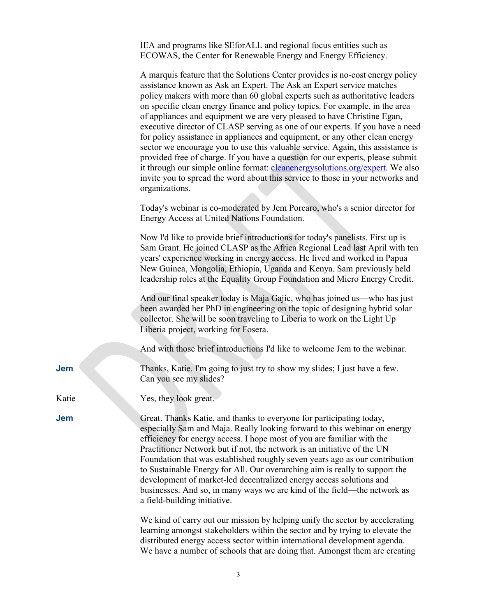IEA and programs like SEforALL and regional focus entities such as ECOWAS, the Center for Renewable Energy and Energy Efficiency.

|       | A marquis feature that the Solutions Center provides is no-cost energy policy<br>assistance known as Ask an Expert. The Ask an Expert service matches<br>policy makers with more than 60 global experts such as authoritative leaders<br>on specific clean energy finance and policy topics. For example, in the area<br>of appliances and equipment we are very pleased to have Christine Egan,<br>executive director of CLASP serving as one of our experts. If you have a need<br>for policy assistance in appliances and equipment, or any other clean energy<br>sector we encourage you to use this valuable service. Again, this assistance is<br>provided free of charge. If you have a question for our experts, please submit<br>it through our simple online format: cleanenergysolutions.org/expert. We also<br>invite you to spread the word about this service to those in your networks and<br>organizations. |
|-------|-----------------------------------------------------------------------------------------------------------------------------------------------------------------------------------------------------------------------------------------------------------------------------------------------------------------------------------------------------------------------------------------------------------------------------------------------------------------------------------------------------------------------------------------------------------------------------------------------------------------------------------------------------------------------------------------------------------------------------------------------------------------------------------------------------------------------------------------------------------------------------------------------------------------------------|
|       | Today's webinar is co-moderated by Jem Porcaro, who's a senior director for<br>Energy Access at United Nations Foundation.                                                                                                                                                                                                                                                                                                                                                                                                                                                                                                                                                                                                                                                                                                                                                                                                  |
|       | Now I'd like to provide brief introductions for today's panelists. First up is<br>Sam Grant. He joined CLASP as the Africa Regional Lead last April with ten<br>years' experience working in energy access. He lived and worked in Papua<br>New Guinea, Mongolia, Ethiopia, Uganda and Kenya. Sam previously held<br>leadership roles at the Equality Group Foundation and Micro Energy Credit.                                                                                                                                                                                                                                                                                                                                                                                                                                                                                                                             |
|       | And our final speaker today is Maja Gajic, who has joined us—who has just<br>been awarded her PhD in engineering on the topic of designing hybrid solar<br>collector. She will be soon traveling to Liberia to work on the Light Up<br>Liberia project, working for Fosera.                                                                                                                                                                                                                                                                                                                                                                                                                                                                                                                                                                                                                                                 |
|       | And with those brief introductions I'd like to welcome Jem to the webinar.                                                                                                                                                                                                                                                                                                                                                                                                                                                                                                                                                                                                                                                                                                                                                                                                                                                  |
| Jem   | Thanks, Katie. I'm going to just try to show my slides; I just have a few.<br>Can you see my slides?                                                                                                                                                                                                                                                                                                                                                                                                                                                                                                                                                                                                                                                                                                                                                                                                                        |
| Katie | Yes, they look great.                                                                                                                                                                                                                                                                                                                                                                                                                                                                                                                                                                                                                                                                                                                                                                                                                                                                                                       |
| Jem   | Great. Thanks Katie, and thanks to everyone for participating today,<br>especially Sam and Maja. Really looking forward to this webinar on energy<br>efficiency for energy access. I hope most of you are familiar with the<br>Practitioner Network but if not, the network is an initiative of the UN<br>Foundation that was established roughly seven years ago as our contribution<br>to Sustainable Energy for All. Our overarching aim is really to support the<br>development of market-led decentralized energy access solutions and<br>businesses. And so, in many ways we are kind of the field-the network as<br>a field-building initiative.                                                                                                                                                                                                                                                                     |
|       | We kind of carry out our mission by helping unify the sector by accelerating<br>learning amongst stakeholders within the sector and by trying to elevate the<br>distributed energy access sector within international development agenda.                                                                                                                                                                                                                                                                                                                                                                                                                                                                                                                                                                                                                                                                                   |

3

We have a number of schools that are doing that. Amongst them are creating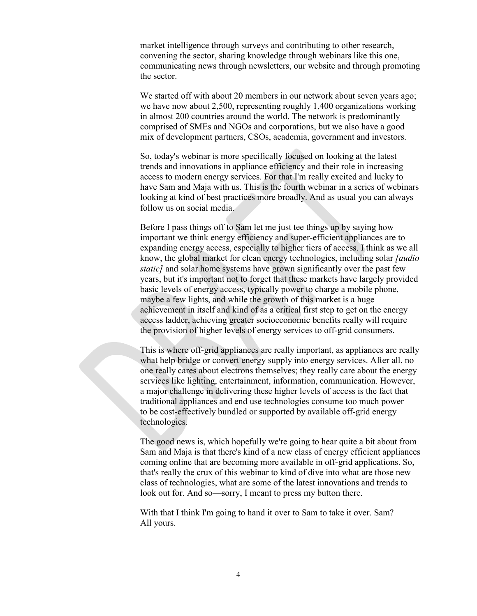market intelligence through surveys and contributing to other research, convening the sector, sharing knowledge through webinars like this one, communicating news through newsletters, our website and through promoting the sector.

We started off with about 20 members in our network about seven years ago; we have now about 2,500, representing roughly 1,400 organizations working in almost 200 countries around the world. The network is predominantly comprised of SMEs and NGOs and corporations, but we also have a good mix of development partners, CSOs, academia, government and investors.

So, today's webinar is more specifically focused on looking at the latest trends and innovations in appliance efficiency and their role in increasing access to modern energy services. For that I'm really excited and lucky to have Sam and Maja with us. This is the fourth webinar in a series of webinars looking at kind of best practices more broadly. And as usual you can always follow us on social media.

Before I pass things off to Sam let me just tee things up by saying how important we think energy efficiency and super-efficient appliances are to expanding energy access, especially to higher tiers of access. I think as we all know, the global market for clean energy technologies, including solar *[audio static* and solar home systems have grown significantly over the past few years, but it's important not to forget that these markets have largely provided basic levels of energy access, typically power to charge a mobile phone, maybe a few lights, and while the growth of this market is a huge achievement in itself and kind of as a critical first step to get on the energy access ladder, achieving greater socioeconomic benefits really will require the provision of higher levels of energy services to off-grid consumers.

This is where off-grid appliances are really important, as appliances are really what help bridge or convert energy supply into energy services. After all, no one really cares about electrons themselves; they really care about the energy services like lighting, entertainment, information, communication. However, a major challenge in delivering these higher levels of access is the fact that traditional appliances and end use technologies consume too much power to be cost-effectively bundled or supported by available off-grid energy technologies.

The good news is, which hopefully we're going to hear quite a bit about from Sam and Maja is that there's kind of a new class of energy efficient appliances coming online that are becoming more available in off-grid applications. So, that's really the crux of this webinar to kind of dive into what are those new class of technologies, what are some of the latest innovations and trends to look out for. And so—sorry, I meant to press my button there.

With that I think I'm going to hand it over to Sam to take it over. Sam? All yours.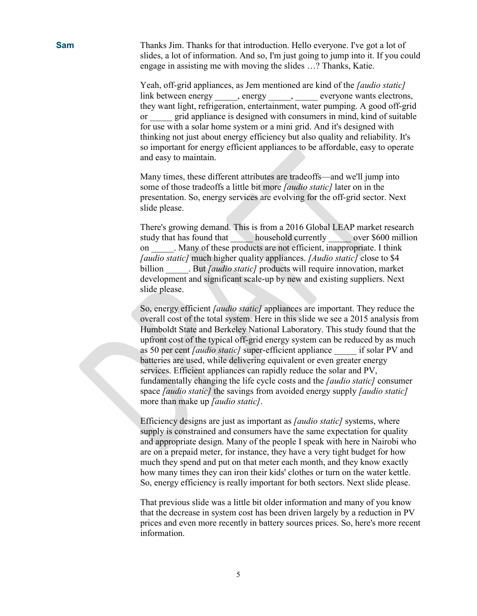**Sam** Thanks Jim. Thanks for that introduction. Hello everyone. I've got a lot of slides, a lot of information. And so, I'm just going to jump into it. If you could engage in assisting me with moving the slides …? Thanks, Katie.

> Yeah, off-grid appliances, as Jem mentioned are kind of the *[audio static]* link between energy \_\_\_\_\_, energy \_\_\_\_\_, \_\_\_\_\_ everyone wants electrons, they want light, refrigeration, entertainment, water pumping. A good off-grid or grid appliance is designed with consumers in mind, kind of suitable for use with a solar home system or a mini grid. And it's designed with thinking not just about energy efficiency but also quality and reliability. It's so important for energy efficient appliances to be affordable, easy to operate and easy to maintain.

Many times, these different attributes are tradeoffs—and we'll jump into some of those tradeoffs a little bit more *[audio static]* later on in the presentation. So, energy services are evolving for the off-grid sector. Next slide please.

There's growing demand. This is from a 2016 Global LEAP market research study that has found that household currently over \$600 million on . Many of these products are not efficient, inappropriate. I think *[audio static]* much higher quality appliances. *[Audio static]* close to \$4 billion But *[audio static]* products will require innovation, market development and significant scale-up by new and existing suppliers. Next slide please.

So, energy efficient *[audio static]* appliances are important. They reduce the overall cost of the total system. Here in this slide we see a 2015 analysis from Humboldt State and Berkeley National Laboratory. This study found that the upfront cost of the typical off-grid energy system can be reduced by as much as 50 per cent *[audio static]* super-efficient appliance if solar PV and batteries are used, while delivering equivalent or even greater energy services. Efficient appliances can rapidly reduce the solar and PV, fundamentally changing the life cycle costs and the *[audio static]* consumer space *[audio static]* the savings from avoided energy supply *[audio static]* more than make up *[audio static]*.

Efficiency designs are just as important as *[audio static]* systems, where supply is constrained and consumers have the same expectation for quality and appropriate design. Many of the people I speak with here in Nairobi who are on a prepaid meter, for instance, they have a very tight budget for how much they spend and put on that meter each month, and they know exactly how many times they can iron their kids' clothes or turn on the water kettle. So, energy efficiency is really important for both sectors. Next slide please.

That previous slide was a little bit older information and many of you know that the decrease in system cost has been driven largely by a reduction in PV prices and even more recently in battery sources prices. So, here's more recent information.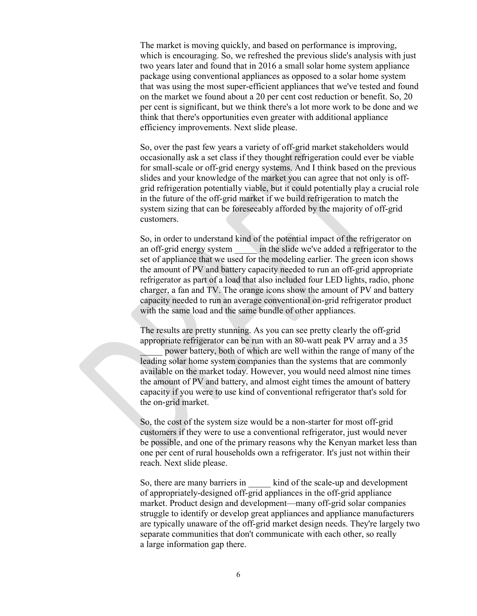The market is moving quickly, and based on performance is improving, which is encouraging. So, we refreshed the previous slide's analysis with just two years later and found that in 2016 a small solar home system appliance package using conventional appliances as opposed to a solar home system that was using the most super-efficient appliances that we've tested and found on the market we found about a 20 per cent cost reduction or benefit. So, 20 per cent is significant, but we think there's a lot more work to be done and we think that there's opportunities even greater with additional appliance efficiency improvements. Next slide please.

So, over the past few years a variety of off-grid market stakeholders would occasionally ask a set class if they thought refrigeration could ever be viable for small-scale or off-grid energy systems. And I think based on the previous slides and your knowledge of the market you can agree that not only is offgrid refrigeration potentially viable, but it could potentially play a crucial role in the future of the off-grid market if we build refrigeration to match the system sizing that can be foreseeably afforded by the majority of off-grid customers.

So, in order to understand kind of the potential impact of the refrigerator on an off-grid energy system \_\_\_\_\_ in the slide we've added a refrigerator to the set of appliance that we used for the modeling earlier. The green icon shows the amount of PV and battery capacity needed to run an off-grid appropriate refrigerator as part of a load that also included four LED lights, radio, phone charger, a fan and TV. The orange icons show the amount of PV and battery capacity needed to run an average conventional on-grid refrigerator product with the same load and the same bundle of other appliances.

The results are pretty stunning. As you can see pretty clearly the off-grid appropriate refrigerator can be run with an 80-watt peak PV array and a 35

power battery, both of which are well within the range of many of the leading solar home system companies than the systems that are commonly available on the market today. However, you would need almost nine times the amount of PV and battery, and almost eight times the amount of battery capacity if you were to use kind of conventional refrigerator that's sold for the on-grid market.

So, the cost of the system size would be a non-starter for most off-grid customers if they were to use a conventional refrigerator, just would never be possible, and one of the primary reasons why the Kenyan market less than one per cent of rural households own a refrigerator. It's just not within their reach. Next slide please.

So, there are many barriers in kind of the scale-up and development of appropriately-designed off-grid appliances in the off-grid appliance market. Product design and development—many off-grid solar companies struggle to identify or develop great appliances and appliance manufacturers are typically unaware of the off-grid market design needs. They're largely two separate communities that don't communicate with each other, so really a large information gap there.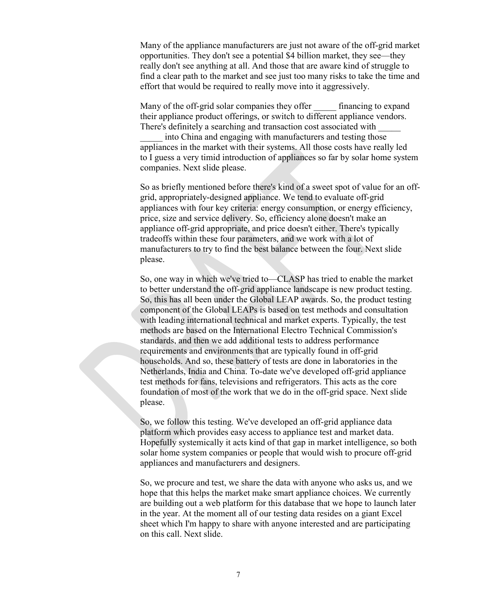Many of the appliance manufacturers are just not aware of the off-grid market opportunities. They don't see a potential \$4 billion market, they see—they really don't see anything at all. And those that are aware kind of struggle to find a clear path to the market and see just too many risks to take the time and effort that would be required to really move into it aggressively.

Many of the off-grid solar companies they offer financing to expand their appliance product offerings, or switch to different appliance vendors. There's definitely a searching and transaction cost associated with \_\_\_\_\_

into China and engaging with manufacturers and testing those appliances in the market with their systems. All those costs have really led to I guess a very timid introduction of appliances so far by solar home system companies. Next slide please.

So as briefly mentioned before there's kind of a sweet spot of value for an offgrid, appropriately-designed appliance. We tend to evaluate off-grid appliances with four key criteria: energy consumption, or energy efficiency, price, size and service delivery. So, efficiency alone doesn't make an appliance off-grid appropriate, and price doesn't either. There's typically tradeoffs within these four parameters, and we work with a lot of manufacturers to try to find the best balance between the four. Next slide please.

So, one way in which we've tried to—CLASP has tried to enable the market to better understand the off-grid appliance landscape is new product testing. So, this has all been under the Global LEAP awards. So, the product testing component of the Global LEAPs is based on test methods and consultation with leading international technical and market experts. Typically, the test methods are based on the International Electro Technical Commission's standards, and then we add additional tests to address performance requirements and environments that are typically found in off-grid households. And so, these battery of tests are done in laboratories in the Netherlands, India and China. To-date we've developed off-grid appliance test methods for fans, televisions and refrigerators. This acts as the core foundation of most of the work that we do in the off-grid space. Next slide please.

So, we follow this testing. We've developed an off-grid appliance data platform which provides easy access to appliance test and market data. Hopefully systemically it acts kind of that gap in market intelligence, so both solar home system companies or people that would wish to procure off-grid appliances and manufacturers and designers.

So, we procure and test, we share the data with anyone who asks us, and we hope that this helps the market make smart appliance choices. We currently are building out a web platform for this database that we hope to launch later in the year. At the moment all of our testing data resides on a giant Excel sheet which I'm happy to share with anyone interested and are participating on this call. Next slide.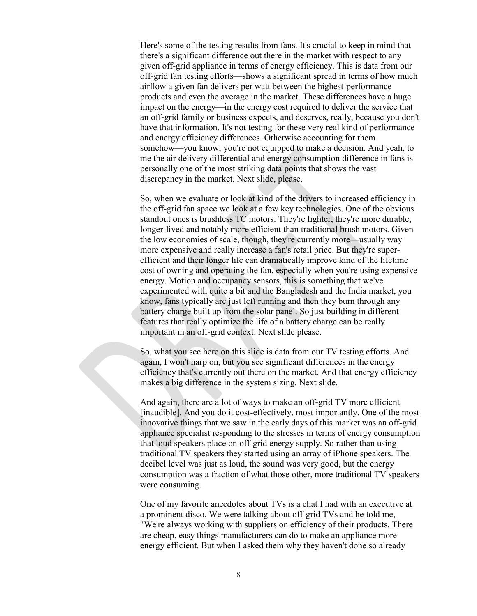Here's some of the testing results from fans. It's crucial to keep in mind that there's a significant difference out there in the market with respect to any given off-grid appliance in terms of energy efficiency. This is data from our off-grid fan testing efforts—shows a significant spread in terms of how much airflow a given fan delivers per watt between the highest-performance products and even the average in the market. These differences have a huge impact on the energy—in the energy cost required to deliver the service that an off-grid family or business expects, and deserves, really, because you don't have that information. It's not testing for these very real kind of performance and energy efficiency differences. Otherwise accounting for them somehow—you know, you're not equipped to make a decision. And yeah, to me the air delivery differential and energy consumption difference in fans is personally one of the most striking data points that shows the vast discrepancy in the market. Next slide, please.

So, when we evaluate or look at kind of the drivers to increased efficiency in the off-grid fan space we look at a few key technologies. One of the obvious standout ones is brushless TC motors. They're lighter, they're more durable, longer-lived and notably more efficient than traditional brush motors. Given the low economies of scale, though, they're currently more—usually way more expensive and really increase a fan's retail price. But they're superefficient and their longer life can dramatically improve kind of the lifetime cost of owning and operating the fan, especially when you're using expensive energy. Motion and occupancy sensors, this is something that we've experimented with quite a bit and the Bangladesh and the India market, you know, fans typically are just left running and then they burn through any battery charge built up from the solar panel. So just building in different features that really optimize the life of a battery charge can be really important in an off-grid context. Next slide please.

So, what you see here on this slide is data from our TV testing efforts. And again, I won't harp on, but you see significant differences in the energy efficiency that's currently out there on the market. And that energy efficiency makes a big difference in the system sizing. Next slide.

And again, there are a lot of ways to make an off-grid TV more efficient [inaudible]*.* And you do it cost-effectively, most importantly. One of the most innovative things that we saw in the early days of this market was an off-grid appliance specialist responding to the stresses in terms of energy consumption that loud speakers place on off-grid energy supply. So rather than using traditional TV speakers they started using an array of iPhone speakers. The decibel level was just as loud, the sound was very good, but the energy consumption was a fraction of what those other, more traditional TV speakers were consuming.

One of my favorite anecdotes about TVs is a chat I had with an executive at a prominent disco. We were talking about off-grid TVs and he told me, "We're always working with suppliers on efficiency of their products. There are cheap, easy things manufacturers can do to make an appliance more energy efficient. But when I asked them why they haven't done so already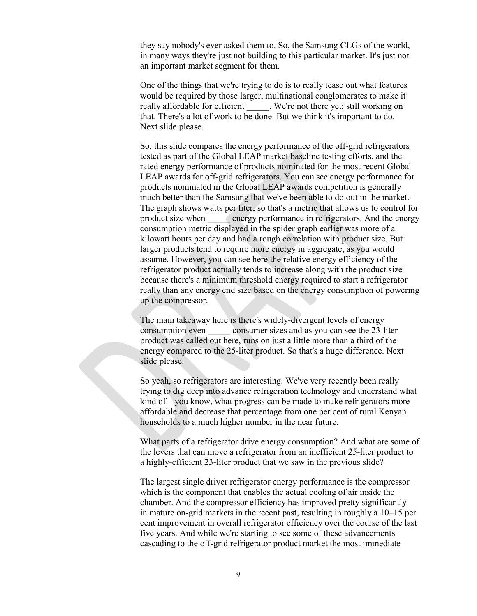they say nobody's ever asked them to. So, the Samsung CLGs of the world, in many ways they're just not building to this particular market. It's just not an important market segment for them.

One of the things that we're trying to do is to really tease out what features would be required by those larger, multinational conglomerates to make it really affordable for efficient . We're not there yet; still working on that. There's a lot of work to be done. But we think it's important to do. Next slide please.

So, this slide compares the energy performance of the off-grid refrigerators tested as part of the Global LEAP market baseline testing efforts, and the rated energy performance of products nominated for the most recent Global LEAP awards for off-grid refrigerators. You can see energy performance for products nominated in the Global LEAP awards competition is generally much better than the Samsung that we've been able to do out in the market. The graph shows watts per liter, so that's a metric that allows us to control for product size when energy performance in refrigerators. And the energy consumption metric displayed in the spider graph earlier was more of a kilowatt hours per day and had a rough correlation with product size. But larger products tend to require more energy in aggregate, as you would assume. However, you can see here the relative energy efficiency of the refrigerator product actually tends to increase along with the product size because there's a minimum threshold energy required to start a refrigerator really than any energy end size based on the energy consumption of powering up the compressor.

The main takeaway here is there's widely-divergent levels of energy consumption even consumer sizes and as you can see the 23-liter product was called out here, runs on just a little more than a third of the energy compared to the 25-liter product. So that's a huge difference. Next slide please.

So yeah, so refrigerators are interesting. We've very recently been really trying to dig deep into advance refrigeration technology and understand what kind of—you know, what progress can be made to make refrigerators more affordable and decrease that percentage from one per cent of rural Kenyan households to a much higher number in the near future.

What parts of a refrigerator drive energy consumption? And what are some of the levers that can move a refrigerator from an inefficient 25-liter product to a highly-efficient 23-liter product that we saw in the previous slide?

The largest single driver refrigerator energy performance is the compressor which is the component that enables the actual cooling of air inside the chamber. And the compressor efficiency has improved pretty significantly in mature on-grid markets in the recent past, resulting in roughly a 10–15 per cent improvement in overall refrigerator efficiency over the course of the last five years. And while we're starting to see some of these advancements cascading to the off-grid refrigerator product market the most immediate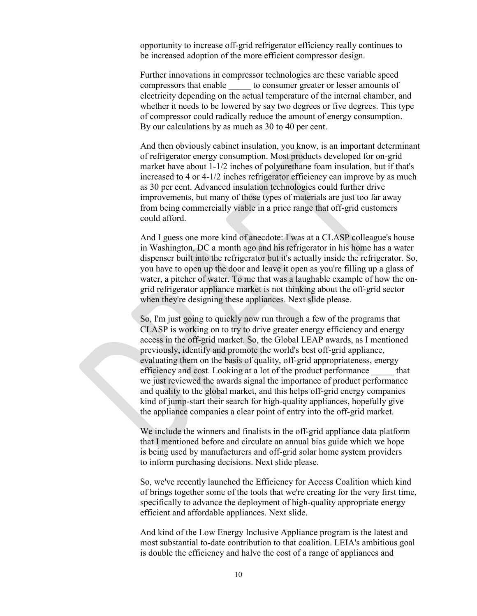opportunity to increase off-grid refrigerator efficiency really continues to be increased adoption of the more efficient compressor design.

Further innovations in compressor technologies are these variable speed compressors that enable  $\qquad \qquad$  to consumer greater or lesser amounts of electricity depending on the actual temperature of the internal chamber, and whether it needs to be lowered by say two degrees or five degrees. This type of compressor could radically reduce the amount of energy consumption. By our calculations by as much as 30 to 40 per cent.

And then obviously cabinet insulation, you know, is an important determinant of refrigerator energy consumption. Most products developed for on-grid market have about 1-1/2 inches of polyurethane foam insulation, but if that's increased to 4 or 4-1/2 inches refrigerator efficiency can improve by as much as 30 per cent. Advanced insulation technologies could further drive improvements, but many of those types of materials are just too far away from being commercially viable in a price range that off-grid customers could afford.

And I guess one more kind of anecdote: I was at a CLASP colleague's house in Washington, DC a month ago and his refrigerator in his home has a water dispenser built into the refrigerator but it's actually inside the refrigerator. So, you have to open up the door and leave it open as you're filling up a glass of water, a pitcher of water. To me that was a laughable example of how the ongrid refrigerator appliance market is not thinking about the off-grid sector when they're designing these appliances. Next slide please.

So, I'm just going to quickly now run through a few of the programs that CLASP is working on to try to drive greater energy efficiency and energy access in the off-grid market. So, the Global LEAP awards, as I mentioned previously, identify and promote the world's best off-grid appliance, evaluating them on the basis of quality, off-grid appropriateness, energy efficiency and cost. Looking at a lot of the product performance \_\_\_\_\_ that we just reviewed the awards signal the importance of product performance and quality to the global market, and this helps off-grid energy companies kind of jump-start their search for high-quality appliances, hopefully give the appliance companies a clear point of entry into the off-grid market.

We include the winners and finalists in the off-grid appliance data platform that I mentioned before and circulate an annual bias guide which we hope is being used by manufacturers and off-grid solar home system providers to inform purchasing decisions. Next slide please.

So, we've recently launched the Efficiency for Access Coalition which kind of brings together some of the tools that we're creating for the very first time, specifically to advance the deployment of high-quality appropriate energy efficient and affordable appliances. Next slide.

And kind of the Low Energy Inclusive Appliance program is the latest and most substantial to-date contribution to that coalition. LEIA's ambitious goal is double the efficiency and halve the cost of a range of appliances and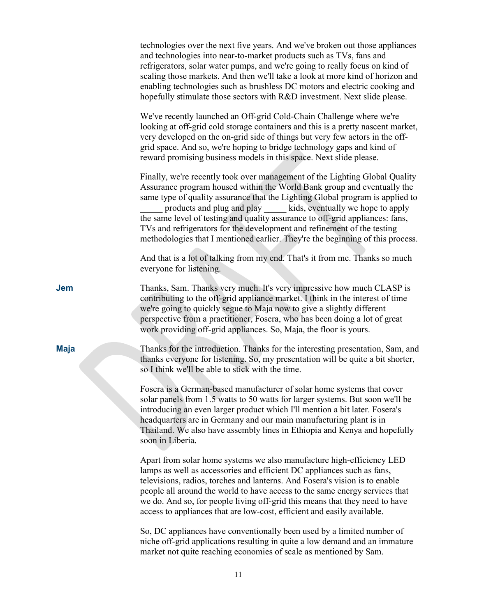|             | technologies over the next five years. And we've broken out those appliances<br>and technologies into near-to-market products such as TVs, fans and<br>refrigerators, solar water pumps, and we're going to really focus on kind of<br>scaling those markets. And then we'll take a look at more kind of horizon and<br>enabling technologies such as brushless DC motors and electric cooking and<br>hopefully stimulate those sectors with R&D investment. Next slide please.                                                                       |
|-------------|-------------------------------------------------------------------------------------------------------------------------------------------------------------------------------------------------------------------------------------------------------------------------------------------------------------------------------------------------------------------------------------------------------------------------------------------------------------------------------------------------------------------------------------------------------|
|             | We've recently launched an Off-grid Cold-Chain Challenge where we're<br>looking at off-grid cold storage containers and this is a pretty nascent market,<br>very developed on the on-grid side of things but very few actors in the off-<br>grid space. And so, we're hoping to bridge technology gaps and kind of<br>reward promising business models in this space. Next slide please.                                                                                                                                                              |
|             | Finally, we're recently took over management of the Lighting Global Quality<br>Assurance program housed within the World Bank group and eventually the<br>same type of quality assurance that the Lighting Global program is applied to<br>products and plug and play kids, eventually we hope to apply<br>the same level of testing and quality assurance to off-grid appliances: fans,<br>TVs and refrigerators for the development and refinement of the testing<br>methodologies that I mentioned earlier. They're the beginning of this process. |
|             | And that is a lot of talking from my end. That's it from me. Thanks so much<br>everyone for listening.                                                                                                                                                                                                                                                                                                                                                                                                                                                |
| Jem         | Thanks, Sam. Thanks very much. It's very impressive how much CLASP is<br>contributing to the off-grid appliance market. I think in the interest of time<br>we're going to quickly segue to Maja now to give a slightly different<br>perspective from a practitioner, Fosera, who has been doing a lot of great<br>work providing off-grid appliances. So, Maja, the floor is yours.                                                                                                                                                                   |
| <b>Maja</b> | Thanks for the introduction. Thanks for the interesting presentation, Sam, and<br>thanks everyone for listening. So, my presentation will be quite a bit shorter,<br>so I think we'll be able to stick with the time.                                                                                                                                                                                                                                                                                                                                 |
|             | Fosera is a German-based manufacturer of solar home systems that cover<br>solar panels from 1.5 watts to 50 watts for larger systems. But soon we'll be<br>introducing an even larger product which I'll mention a bit later. Fosera's<br>headquarters are in Germany and our main manufacturing plant is in<br>Thailand. We also have assembly lines in Ethiopia and Kenya and hopefully<br>soon in Liberia.                                                                                                                                         |
|             | Apart from solar home systems we also manufacture high-efficiency LED<br>lamps as well as accessories and efficient DC appliances such as fans,<br>televisions, radios, torches and lanterns. And Fosera's vision is to enable<br>people all around the world to have access to the same energy services that<br>we do. And so, for people living off-grid this means that they need to have<br>access to appliances that are low-cost, efficient and easily available.                                                                               |
|             | So, DC appliances have conventionally been used by a limited number of<br>niche off-grid applications resulting in quite a low demand and an immature<br>market not quite reaching economies of scale as mentioned by Sam.                                                                                                                                                                                                                                                                                                                            |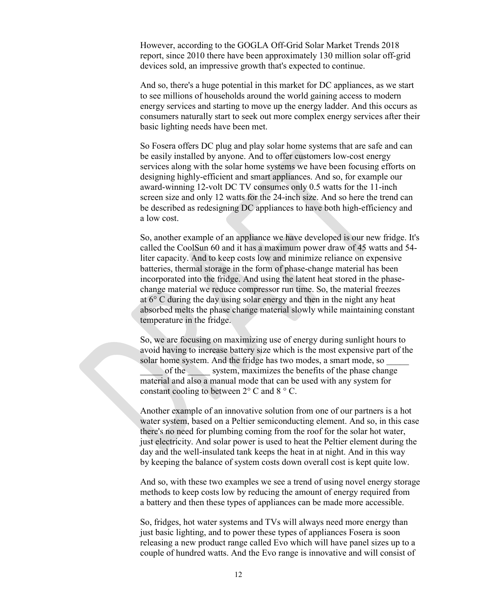However, according to the GOGLA Off-Grid Solar Market Trends 2018 report, since 2010 there have been approximately 130 million solar off-grid devices sold, an impressive growth that's expected to continue.

And so, there's a huge potential in this market for DC appliances, as we start to see millions of households around the world gaining access to modern energy services and starting to move up the energy ladder. And this occurs as consumers naturally start to seek out more complex energy services after their basic lighting needs have been met.

So Fosera offers DC plug and play solar home systems that are safe and can be easily installed by anyone. And to offer customers low-cost energy services along with the solar home systems we have been focusing efforts on designing highly-efficient and smart appliances. And so, for example our award-winning 12-volt DC TV consumes only 0.5 watts for the 11-inch screen size and only 12 watts for the 24-inch size. And so here the trend can be described as redesigning DC appliances to have both high-efficiency and a low cost.

So, another example of an appliance we have developed is our new fridge. It's called the CoolSun 60 and it has a maximum power draw of 45 watts and 54 liter capacity. And to keep costs low and minimize reliance on expensive batteries, thermal storage in the form of phase-change material has been incorporated into the fridge. And using the latent heat stored in the phasechange material we reduce compressor run time. So, the material freezes at 6° C during the day using solar energy and then in the night any heat absorbed melts the phase change material slowly while maintaining constant temperature in the fridge.

So, we are focusing on maximizing use of energy during sunlight hours to avoid having to increase battery size which is the most expensive part of the solar home system. And the fridge has two modes, a smart mode, so of the system, maximizes the benefits of the phase change material and also a manual mode that can be used with any system for constant cooling to between  $2^{\circ}$  C and  $8^{\circ}$  C.

Another example of an innovative solution from one of our partners is a hot water system, based on a Peltier semiconducting element. And so, in this case there's no need for plumbing coming from the roof for the solar hot water, just electricity. And solar power is used to heat the Peltier element during the day and the well-insulated tank keeps the heat in at night. And in this way by keeping the balance of system costs down overall cost is kept quite low.

And so, with these two examples we see a trend of using novel energy storage methods to keep costs low by reducing the amount of energy required from a battery and then these types of appliances can be made more accessible.

So, fridges, hot water systems and TVs will always need more energy than just basic lighting, and to power these types of appliances Fosera is soon releasing a new product range called Evo which will have panel sizes up to a couple of hundred watts. And the Evo range is innovative and will consist of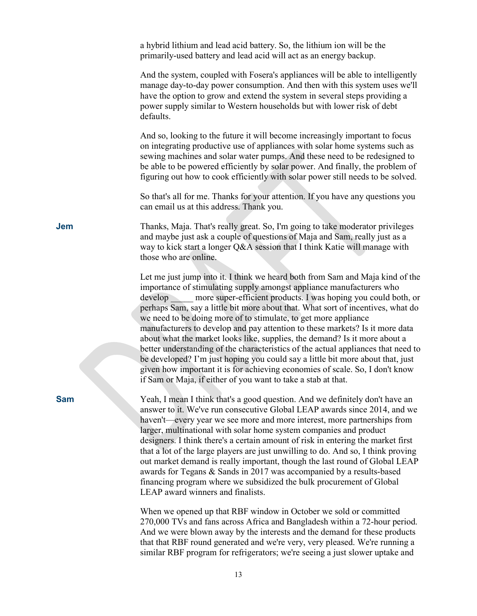|            | a hybrid lithium and lead acid battery. So, the lithium ion will be the<br>primarily-used battery and lead acid will act as an energy backup.                                                                                                                                                                                                                                                                                                                                                                                                                                                                                                                                                                                                                                                                                                                               |
|------------|-----------------------------------------------------------------------------------------------------------------------------------------------------------------------------------------------------------------------------------------------------------------------------------------------------------------------------------------------------------------------------------------------------------------------------------------------------------------------------------------------------------------------------------------------------------------------------------------------------------------------------------------------------------------------------------------------------------------------------------------------------------------------------------------------------------------------------------------------------------------------------|
|            | And the system, coupled with Fosera's appliances will be able to intelligently<br>manage day-to-day power consumption. And then with this system uses we'll<br>have the option to grow and extend the system in several steps providing a<br>power supply similar to Western households but with lower risk of debt<br>defaults.                                                                                                                                                                                                                                                                                                                                                                                                                                                                                                                                            |
|            | And so, looking to the future it will become increasingly important to focus<br>on integrating productive use of appliances with solar home systems such as<br>sewing machines and solar water pumps. And these need to be redesigned to<br>be able to be powered efficiently by solar power. And finally, the problem of<br>figuring out how to cook efficiently with solar power still needs to be solved.                                                                                                                                                                                                                                                                                                                                                                                                                                                                |
|            | So that's all for me. Thanks for your attention. If you have any questions you<br>can email us at this address. Thank you.                                                                                                                                                                                                                                                                                                                                                                                                                                                                                                                                                                                                                                                                                                                                                  |
| Jem        | Thanks, Maja. That's really great. So, I'm going to take moderator privileges<br>and maybe just ask a couple of questions of Maja and Sam, really just as a<br>way to kick start a longer Q&A session that I think Katie will manage with<br>those who are online.                                                                                                                                                                                                                                                                                                                                                                                                                                                                                                                                                                                                          |
|            | Let me just jump into it. I think we heard both from Sam and Maja kind of the<br>importance of stimulating supply amongst appliance manufacturers who<br>develop more super-efficient products. I was hoping you could both, or<br>perhaps Sam, say a little bit more about that. What sort of incentives, what do<br>we need to be doing more of to stimulate, to get more appliance<br>manufacturers to develop and pay attention to these markets? Is it more data<br>about what the market looks like, supplies, the demand? Is it more about a<br>better understanding of the characteristics of the actual appliances that need to<br>be developed? I'm just hoping you could say a little bit more about that, just<br>given how important it is for achieving economies of scale. So, I don't know<br>if Sam or Maja, if either of you want to take a stab at that. |
| <b>Sam</b> | Yeah, I mean I think that's a good question. And we definitely don't have an<br>answer to it. We've run consecutive Global LEAP awards since 2014, and we<br>haven't—every year we see more and more interest, more partnerships from<br>larger, multinational with solar home system companies and product<br>designers. I think there's a certain amount of risk in entering the market first<br>that a lot of the large players are just unwilling to do. And so, I think proving<br>out market demand is really important, though the last round of Global LEAP<br>awards for Tegans & Sands in 2017 was accompanied by a results-based<br>financing program where we subsidized the bulk procurement of Global<br>LEAP award winners and finalists.                                                                                                                    |

When we opened up that RBF window in October we sold or committed 270,000 TVs and fans across Africa and Bangladesh within a 72-hour period. And we were blown away by the interests and the demand for these products that that RBF round generated and we're very, very pleased. We're running a similar RBF program for refrigerators; we're seeing a just slower uptake and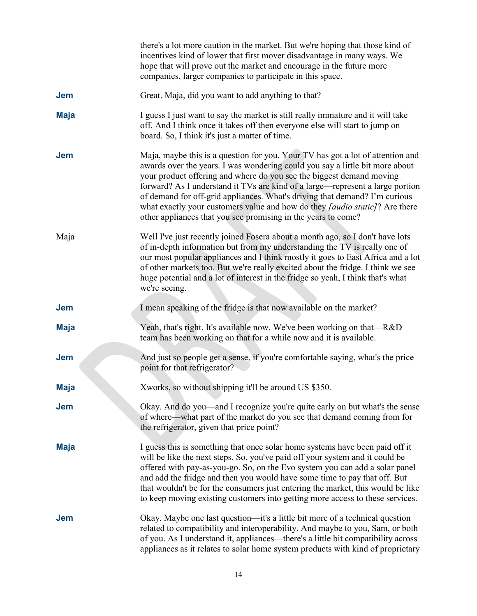|             | there's a lot more caution in the market. But we're hoping that those kind of<br>incentives kind of lower that first mover disadvantage in many ways. We<br>hope that will prove out the market and encourage in the future more<br>companies, larger companies to participate in this space.                                                                                                                                                                                                                                                                 |
|-------------|---------------------------------------------------------------------------------------------------------------------------------------------------------------------------------------------------------------------------------------------------------------------------------------------------------------------------------------------------------------------------------------------------------------------------------------------------------------------------------------------------------------------------------------------------------------|
| <b>Jem</b>  | Great. Maja, did you want to add anything to that?                                                                                                                                                                                                                                                                                                                                                                                                                                                                                                            |
| <b>Maja</b> | I guess I just want to say the market is still really immature and it will take<br>off. And I think once it takes off then everyone else will start to jump on<br>board. So, I think it's just a matter of time.                                                                                                                                                                                                                                                                                                                                              |
| <b>Jem</b>  | Maja, maybe this is a question for you. Your TV has got a lot of attention and<br>awards over the years. I was wondering could you say a little bit more about<br>your product offering and where do you see the biggest demand moving<br>forward? As I understand it TVs are kind of a large—represent a large portion<br>of demand for off-grid appliances. What's driving that demand? I'm curious<br>what exactly your customers value and how do they <i>[audio static]</i> ? Are there<br>other appliances that you see promising in the years to come? |
| Maja        | Well I've just recently joined Fosera about a month ago, so I don't have lots<br>of in-depth information but from my understanding the TV is really one of<br>our most popular appliances and I think mostly it goes to East Africa and a lot<br>of other markets too. But we're really excited about the fridge. I think we see<br>huge potential and a lot of interest in the fridge so yeah, I think that's what<br>we're seeing.                                                                                                                          |
| <b>Jem</b>  | I mean speaking of the fridge is that now available on the market?                                                                                                                                                                                                                                                                                                                                                                                                                                                                                            |
| <b>Maja</b> | Yeah, that's right. It's available now. We've been working on that—R&D<br>team has been working on that for a while now and it is available.                                                                                                                                                                                                                                                                                                                                                                                                                  |
| <b>Jem</b>  | And just so people get a sense, if you're comfortable saying, what's the price<br>point for that refrigerator?                                                                                                                                                                                                                                                                                                                                                                                                                                                |
| <b>Maja</b> | Xworks, so without shipping it'll be around US \$350.                                                                                                                                                                                                                                                                                                                                                                                                                                                                                                         |
| Jem         | Okay. And do you—and I recognize you're quite early on but what's the sense<br>of where—what part of the market do you see that demand coming from for<br>the refrigerator, given that price point?                                                                                                                                                                                                                                                                                                                                                           |
| <b>Maja</b> | I guess this is something that once solar home systems have been paid off it<br>will be like the next steps. So, you've paid off your system and it could be<br>offered with pay-as-you-go. So, on the Evo system you can add a solar panel<br>and add the fridge and then you would have some time to pay that off. But<br>that wouldn't be for the consumers just entering the market, this would be like<br>to keep moving existing customers into getting more access to these services.                                                                  |
| Jem         | Okay. Maybe one last question—it's a little bit more of a technical question<br>related to compatibility and interoperability. And maybe to you, Sam, or both<br>of you. As I understand it, appliances—there's a little bit compatibility across<br>appliances as it relates to solar home system products with kind of proprietary                                                                                                                                                                                                                          |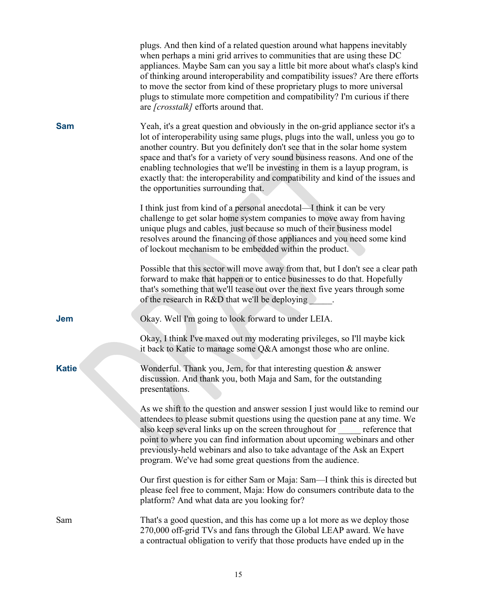|              | plugs. And then kind of a related question around what happens inevitably<br>when perhaps a mini grid arrives to communities that are using these DC<br>appliances. Maybe Sam can you say a little bit more about what's clasp's kind<br>of thinking around interoperability and compatibility issues? Are there efforts<br>to move the sector from kind of these proprietary plugs to more universal<br>plugs to stimulate more competition and compatibility? I'm curious if there<br>are [crosstalk] efforts around that.                  |
|--------------|-----------------------------------------------------------------------------------------------------------------------------------------------------------------------------------------------------------------------------------------------------------------------------------------------------------------------------------------------------------------------------------------------------------------------------------------------------------------------------------------------------------------------------------------------|
| <b>Sam</b>   | Yeah, it's a great question and obviously in the on-grid appliance sector it's a<br>lot of interoperability using same plugs, plugs into the wall, unless you go to<br>another country. But you definitely don't see that in the solar home system<br>space and that's for a variety of very sound business reasons. And one of the<br>enabling technologies that we'll be investing in them is a layup program, is<br>exactly that: the interoperability and compatibility and kind of the issues and<br>the opportunities surrounding that. |
|              | I think just from kind of a personal anecdotal—I think it can be very<br>challenge to get solar home system companies to move away from having<br>unique plugs and cables, just because so much of their business model<br>resolves around the financing of those appliances and you need some kind<br>of lockout mechanism to be embedded within the product.                                                                                                                                                                                |
|              | Possible that this sector will move away from that, but I don't see a clear path<br>forward to make that happen or to entice businesses to do that. Hopefully<br>that's something that we'll tease out over the next five years through some<br>of the research in R&D that we'll be deploying                                                                                                                                                                                                                                                |
| <b>Jem</b>   | Okay. Well I'm going to look forward to under LEIA.                                                                                                                                                                                                                                                                                                                                                                                                                                                                                           |
|              | Okay, I think I've maxed out my moderating privileges, so I'll maybe kick<br>it back to Katie to manage some Q&A amongst those who are online.                                                                                                                                                                                                                                                                                                                                                                                                |
| <b>Katie</b> | Wonderful. Thank you, Jem, for that interesting question $\&$ answer<br>discussion. And thank you, both Maja and Sam, for the outstanding<br>presentations.                                                                                                                                                                                                                                                                                                                                                                                   |
|              | As we shift to the question and answer session I just would like to remind our<br>attendees to please submit questions using the question pane at any time. We<br>also keep several links up on the screen throughout for reference that<br>point to where you can find information about upcoming webinars and other<br>previously-held webinars and also to take advantage of the Ask an Expert<br>program. We've had some great questions from the audience.                                                                               |
|              | Our first question is for either Sam or Maja: Sam—I think this is directed but<br>please feel free to comment, Maja: How do consumers contribute data to the<br>platform? And what data are you looking for?                                                                                                                                                                                                                                                                                                                                  |
| Sam          | That's a good question, and this has come up a lot more as we deploy those<br>270,000 off-grid TVs and fans through the Global LEAP award. We have<br>a contractual obligation to verify that those products have ended up in the                                                                                                                                                                                                                                                                                                             |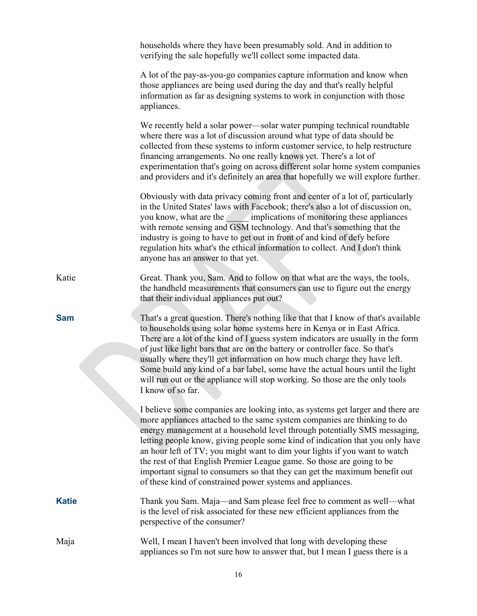|              | households where they have been presumably sold. And in addition to<br>verifying the sale hopefully we'll collect some impacted data.                                                                                                                                                                                                                                                                                                                                                                                                                                                                                        |
|--------------|------------------------------------------------------------------------------------------------------------------------------------------------------------------------------------------------------------------------------------------------------------------------------------------------------------------------------------------------------------------------------------------------------------------------------------------------------------------------------------------------------------------------------------------------------------------------------------------------------------------------------|
|              | A lot of the pay-as-you-go companies capture information and know when<br>those appliances are being used during the day and that's really helpful<br>information as far as designing systems to work in conjunction with those<br>appliances.                                                                                                                                                                                                                                                                                                                                                                               |
|              | We recently held a solar power—solar water pumping technical roundtable<br>where there was a lot of discussion around what type of data should be<br>collected from these systems to inform customer service, to help restructure<br>financing arrangements. No one really knows yet. There's a lot of<br>experimentation that's going on across different solar home system companies<br>and providers and it's definitely an area that hopefully we will explore further.                                                                                                                                                  |
|              | Obviously with data privacy coming front and center of a lot of, particularly<br>in the United States' laws with Facebook; there's also a lot of discussion on,<br>you know, what are the implications of monitoring these appliances<br>with remote sensing and GSM technology. And that's something that the<br>industry is going to have to get out in front of and kind of defy before<br>regulation hits what's the ethical information to collect. And I don't think<br>anyone has an answer to that yet.                                                                                                              |
| Katie        | Great. Thank you, Sam. And to follow on that what are the ways, the tools,<br>the handheld measurements that consumers can use to figure out the energy<br>that their individual appliances put out?                                                                                                                                                                                                                                                                                                                                                                                                                         |
| <b>Sam</b>   | That's a great question. There's nothing like that that I know of that's available<br>to households using solar home systems here in Kenya or in East Africa.<br>There are a lot of the kind of I guess system indicators are usually in the form<br>of just like light bars that are on the battery or controller face. So that's<br>usually where they'll get information on how much charge they have left.<br>Some build any kind of a bar label, some have the actual hours until the light<br>will run out or the appliance will stop working. So those are the only tools<br>I know of so far.                        |
|              | I believe some companies are looking into, as systems get larger and there are<br>more appliances attached to the same system companies are thinking to do<br>energy management at a household level through potentially SMS messaging,<br>letting people know, giving people some kind of indication that you only have<br>an hour left of TV; you might want to dim your lights if you want to watch<br>the rest of that English Premier League game. So those are going to be<br>important signal to consumers so that they can get the maximum benefit out<br>of these kind of constrained power systems and appliances. |
| <b>Katie</b> | Thank you Sam. Maja—and Sam please feel free to comment as well—what<br>is the level of risk associated for these new efficient appliances from the<br>perspective of the consumer?                                                                                                                                                                                                                                                                                                                                                                                                                                          |
| Maja         | Well, I mean I haven't been involved that long with developing these<br>appliances so I'm not sure how to answer that, but I mean I guess there is a                                                                                                                                                                                                                                                                                                                                                                                                                                                                         |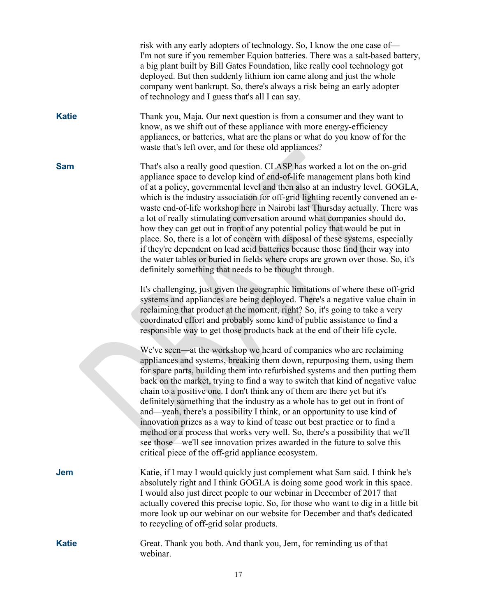|              | risk with any early adopters of technology. So, I know the one case of-<br>I'm not sure if you remember Equion batteries. There was a salt-based battery,<br>a big plant built by Bill Gates Foundation, like really cool technology got<br>deployed. But then suddenly lithium ion came along and just the whole<br>company went bankrupt. So, there's always a risk being an early adopter<br>of technology and I guess that's all I can say.                                                                                                                                                                                                                                                                                                                                                                                                                                        |
|--------------|----------------------------------------------------------------------------------------------------------------------------------------------------------------------------------------------------------------------------------------------------------------------------------------------------------------------------------------------------------------------------------------------------------------------------------------------------------------------------------------------------------------------------------------------------------------------------------------------------------------------------------------------------------------------------------------------------------------------------------------------------------------------------------------------------------------------------------------------------------------------------------------|
| <b>Katie</b> | Thank you, Maja. Our next question is from a consumer and they want to<br>know, as we shift out of these appliance with more energy-efficiency<br>appliances, or batteries, what are the plans or what do you know of for the<br>waste that's left over, and for these old appliances?                                                                                                                                                                                                                                                                                                                                                                                                                                                                                                                                                                                                 |
| <b>Sam</b>   | That's also a really good question. CLASP has worked a lot on the on-grid<br>appliance space to develop kind of end-of-life management plans both kind<br>of at a policy, governmental level and then also at an industry level. GOGLA,<br>which is the industry association for off-grid lighting recently convened an e-<br>waste end-of-life workshop here in Nairobi last Thursday actually. There was<br>a lot of really stimulating conversation around what companies should do,<br>how they can get out in front of any potential policy that would be put in<br>place. So, there is a lot of concern with disposal of these systems, especially<br>if they're dependent on lead acid batteries because those find their way into<br>the water tables or buried in fields where crops are grown over those. So, it's<br>definitely something that needs to be thought through. |
|              | It's challenging, just given the geographic limitations of where these off-grid<br>systems and appliances are being deployed. There's a negative value chain in<br>reclaiming that product at the moment, right? So, it's going to take a very<br>coordinated effort and probably some kind of public assistance to find a<br>responsible way to get those products back at the end of their life cycle.                                                                                                                                                                                                                                                                                                                                                                                                                                                                               |
|              | We've seen—at the workshop we heard of companies who are reclaiming<br>appliances and systems, breaking them down, repurposing them, using them<br>for spare parts, building them into refurbished systems and then putting them<br>back on the market, trying to find a way to switch that kind of negative value<br>chain to a positive one. I don't think any of them are there yet but it's<br>definitely something that the industry as a whole has to get out in front of<br>and—yeah, there's a possibility I think, or an opportunity to use kind of<br>innovation prizes as a way to kind of tease out best practice or to find a<br>method or a process that works very well. So, there's a possibility that we'll<br>see those—we'll see innovation prizes awarded in the future to solve this<br>critical piece of the off-grid appliance ecosystem.                       |
| <b>Jem</b>   | Katie, if I may I would quickly just complement what Sam said. I think he's<br>absolutely right and I think GOGLA is doing some good work in this space.<br>I would also just direct people to our webinar in December of 2017 that<br>actually covered this precise topic. So, for those who want to dig in a little bit<br>more look up our webinar on our website for December and that's dedicated<br>to recycling of off-grid solar products.                                                                                                                                                                                                                                                                                                                                                                                                                                     |
| <b>Katie</b> | Great. Thank you both. And thank you, Jem, for reminding us of that<br>webinar.                                                                                                                                                                                                                                                                                                                                                                                                                                                                                                                                                                                                                                                                                                                                                                                                        |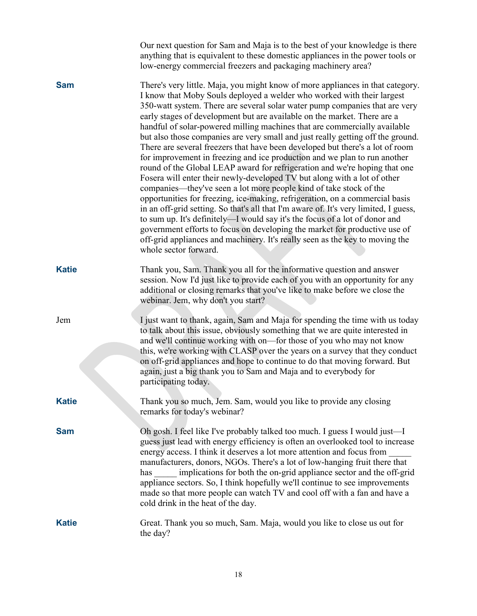|              | Our next question for Sam and Maja is to the best of your knowledge is there<br>anything that is equivalent to these domestic appliances in the power tools or<br>low-energy commercial freezers and packaging machinery area?                                                                                                                                                                                                                                                                                                                                                                                                                                                                                                                                                                                                                                                                                                                                                                                                                                                                                                                                                                                                                                                                                                  |
|--------------|---------------------------------------------------------------------------------------------------------------------------------------------------------------------------------------------------------------------------------------------------------------------------------------------------------------------------------------------------------------------------------------------------------------------------------------------------------------------------------------------------------------------------------------------------------------------------------------------------------------------------------------------------------------------------------------------------------------------------------------------------------------------------------------------------------------------------------------------------------------------------------------------------------------------------------------------------------------------------------------------------------------------------------------------------------------------------------------------------------------------------------------------------------------------------------------------------------------------------------------------------------------------------------------------------------------------------------|
| <b>Sam</b>   | There's very little. Maja, you might know of more appliances in that category.<br>I know that Moby Souls deployed a welder who worked with their largest<br>350-watt system. There are several solar water pump companies that are very<br>early stages of development but are available on the market. There are a<br>handful of solar-powered milling machines that are commercially available<br>but also those companies are very small and just really getting off the ground.<br>There are several freezers that have been developed but there's a lot of room<br>for improvement in freezing and ice production and we plan to run another<br>round of the Global LEAP award for refrigeration and we're hoping that one<br>Fosera will enter their newly-developed TV but along with a lot of other<br>companies—they've seen a lot more people kind of take stock of the<br>opportunities for freezing, ice-making, refrigeration, on a commercial basis<br>in an off-grid setting. So that's all that I'm aware of. It's very limited, I guess,<br>to sum up. It's definitely—I would say it's the focus of a lot of donor and<br>government efforts to focus on developing the market for productive use of<br>off-grid appliances and machinery. It's really seen as the key to moving the<br>whole sector forward. |
| <b>Katie</b> | Thank you, Sam. Thank you all for the informative question and answer<br>session. Now I'd just like to provide each of you with an opportunity for any<br>additional or closing remarks that you've like to make before we close the<br>webinar. Jem, why don't you start?                                                                                                                                                                                                                                                                                                                                                                                                                                                                                                                                                                                                                                                                                                                                                                                                                                                                                                                                                                                                                                                      |
| Jem          | I just want to thank, again, Sam and Maja for spending the time with us today<br>to talk about this issue, obviously something that we are quite interested in<br>and we'll continue working with on—for those of you who may not know<br>this, we're working with CLASP over the years on a survey that they conduct<br>on off-grid appliances and hope to continue to do that moving forward. But<br>again, just a big thank you to Sam and Maja and to everybody for<br>participating today.                                                                                                                                                                                                                                                                                                                                                                                                                                                                                                                                                                                                                                                                                                                                                                                                                                 |
| <b>Katie</b> | Thank you so much, Jem. Sam, would you like to provide any closing<br>remarks for today's webinar?                                                                                                                                                                                                                                                                                                                                                                                                                                                                                                                                                                                                                                                                                                                                                                                                                                                                                                                                                                                                                                                                                                                                                                                                                              |
| <b>Sam</b>   | Oh gosh. I feel like I've probably talked too much. I guess I would just—I<br>guess just lead with energy efficiency is often an overlooked tool to increase<br>energy access. I think it deserves a lot more attention and focus from<br>manufacturers, donors, NGOs. There's a lot of low-hanging fruit there that<br>implications for both the on-grid appliance sector and the off-grid<br>has<br>appliance sectors. So, I think hopefully we'll continue to see improvements<br>made so that more people can watch TV and cool off with a fan and have a<br>cold drink in the heat of the day.                                                                                                                                                                                                                                                                                                                                                                                                                                                                                                                                                                                                                                                                                                                             |
| <b>Katie</b> | Great. Thank you so much, Sam. Maja, would you like to close us out for<br>the day?                                                                                                                                                                                                                                                                                                                                                                                                                                                                                                                                                                                                                                                                                                                                                                                                                                                                                                                                                                                                                                                                                                                                                                                                                                             |